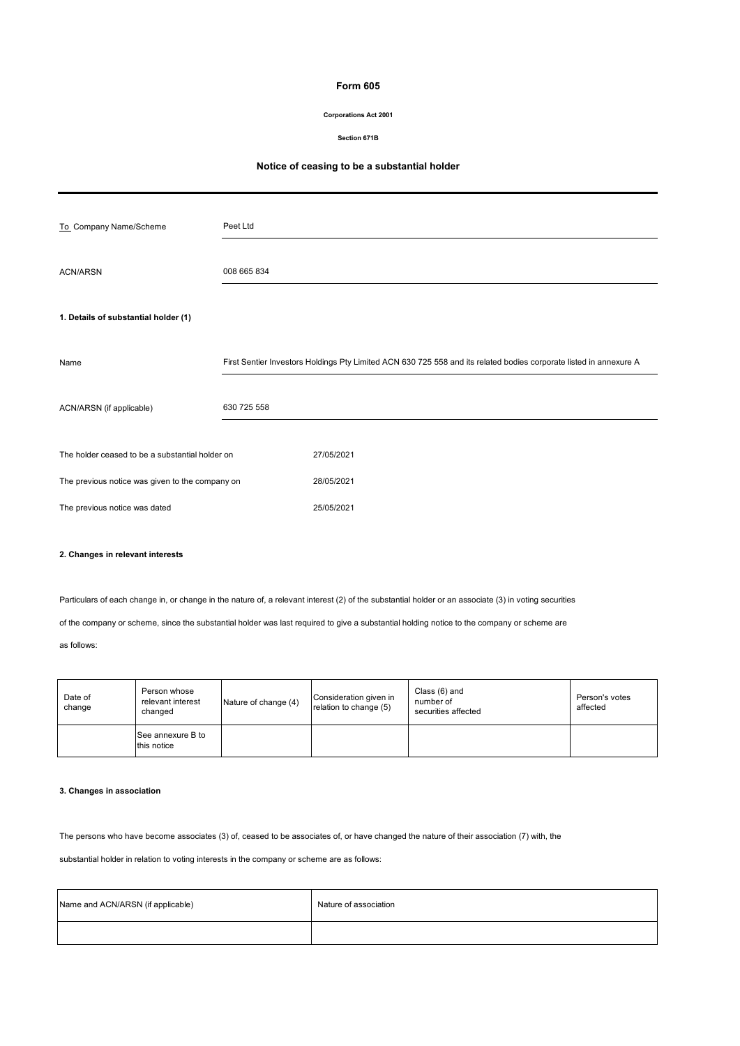## **Form 605**

### **Corporations Act 2001**

#### **Section 671B**

## **Notice of ceasing to be a substantial holder**

| To Company Name/Scheme                          | Peet Ltd    |                                                                                                                    |
|-------------------------------------------------|-------------|--------------------------------------------------------------------------------------------------------------------|
| <b>ACN/ARSN</b>                                 | 008 665 834 |                                                                                                                    |
| 1. Details of substantial holder (1)            |             |                                                                                                                    |
| Name                                            |             | First Sentier Investors Holdings Pty Limited ACN 630 725 558 and its related bodies corporate listed in annexure A |
| ACN/ARSN (if applicable)                        | 630 725 558 |                                                                                                                    |
| The holder ceased to be a substantial holder on |             | 27/05/2021                                                                                                         |
| The previous notice was given to the company on |             | 28/05/2021                                                                                                         |
| The previous notice was dated                   |             | 25/05/2021                                                                                                         |

### **2. Changes in relevant interests**

Particulars of each change in, or change in the nature of, a relevant interest (2) of the substantial holder or an associate (3) in voting securities

of the company or scheme, since the substantial holder was last required to give a substantial holding notice to the company or scheme are

### as follows:

| Date of<br>change | Person whose<br>relevant interest<br>changed | Nature of change (4) | Consideration given in<br>relation to change (5) | Class (6) and<br>number of<br>securities affected | Person's votes<br>affected |
|-------------------|----------------------------------------------|----------------------|--------------------------------------------------|---------------------------------------------------|----------------------------|
|                   | See annexure B to<br>this notice             |                      |                                                  |                                                   |                            |

### **3. Changes in association**

The persons who have become associates (3) of, ceased to be associates of, or have changed the nature of their association (7) with, the

substantial holder in relation to voting interests in the company or scheme are as follows:

| Name and ACN/ARSN (if applicable) | Nature of association |
|-----------------------------------|-----------------------|
|                                   |                       |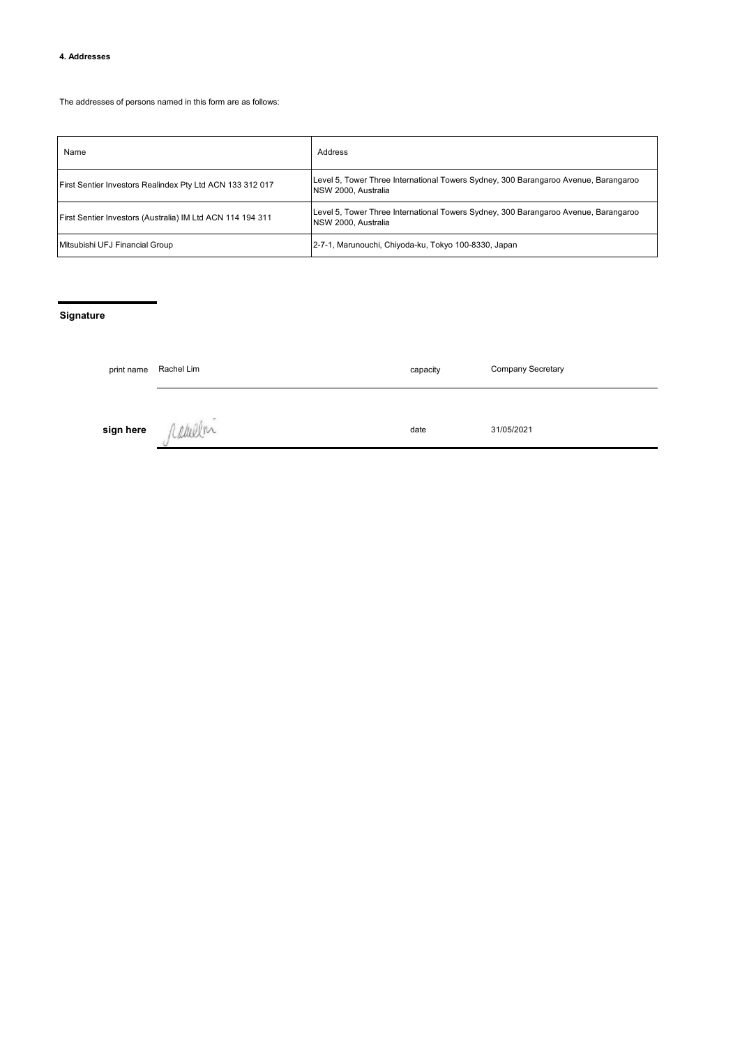### **4. Addresses**

The addresses of persons named in this form are as follows:

| Name                                                       | Address                                                                                                     |
|------------------------------------------------------------|-------------------------------------------------------------------------------------------------------------|
| First Sentier Investors Realindex Pty Ltd ACN 133 312 017  | Level 5, Tower Three International Towers Sydney, 300 Barangaroo Avenue, Barangaroo<br>NSW 2000, Australia  |
| First Sentier Investors (Australia) IM Ltd ACN 114 194 311 | Level 5, Tower Three International Towers Sydney, 300 Barangaroo Avenue, Barangaroo<br>INSW 2000. Australia |
| Mitsubishi UFJ Financial Group                             | 2-7-1, Marunouchi, Chiyoda-ku, Tokyo 100-8330, Japan                                                        |

# **Signature**

| print name | Rachel Lim | capacity | <b>Company Secretary</b> |
|------------|------------|----------|--------------------------|
| sign here  |            | date     | 31/05/2021               |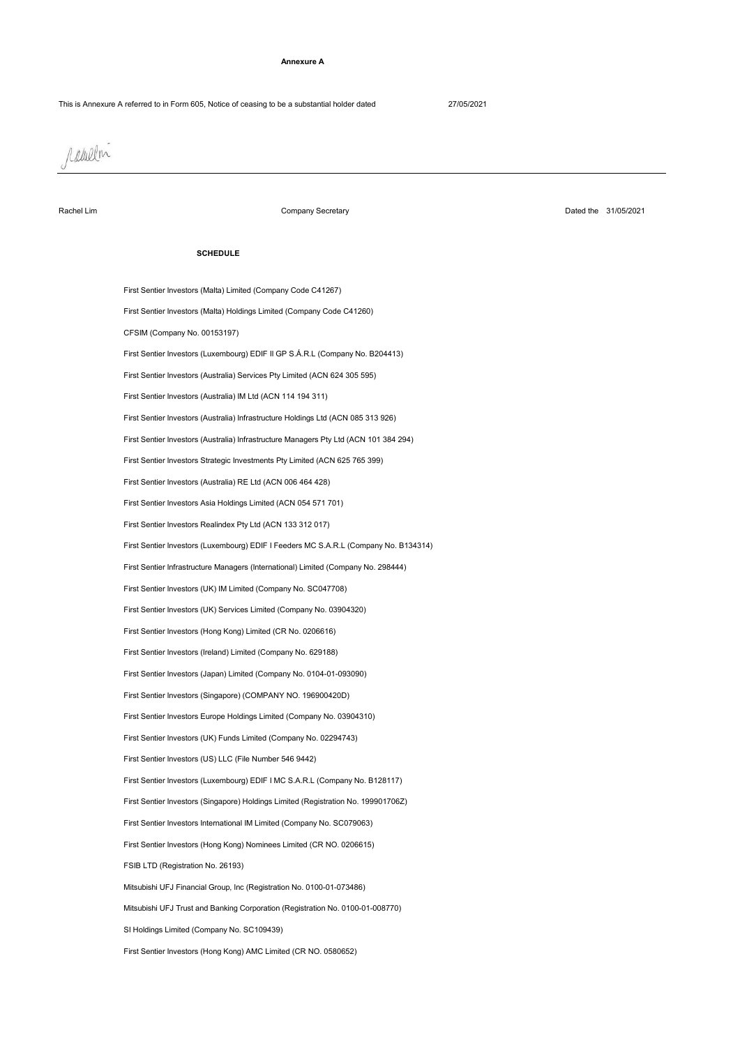#### **Annexure A**

raulen

Rachel Lim

Company Secretary

Dated the 31/05/2021

#### **SCHEDULE**

SI Holdings Limited (Company No. SC109439) Mitsubishi UFJ Financial Group, Inc (Registration No. 0100-01-073486) FSIB LTD (Registration No. 26193) First Sentier Investors (Hong Kong) Nominees Limited (CR NO. 0206615) First Sentier Investors International IM Limited (Company No. SC079063) First Sentier Investors (Singapore) Holdings Limited (Registration No. 199901706Z) First Sentier Investors (Luxembourg) EDIF I MC S.A.R.L (Company No. B128117) Mitsubishi UFJ Trust and Banking Corporation (Registration No. 0100-01-008770) First Sentier Investors (Singapore) (COMPANY NO. 196900420D) First Sentier Investors Europe Holdings Limited (Company No. 03904310) First Sentier Investors (UK) Funds Limited (Company No. 02294743) First Sentier Investors (US) LLC (File Number 546 9442) First Sentier Investors (Hong Kong) Limited (CR No. 0206616) First Sentier Investors (UK) Services Limited (Company No. 03904320) First Sentier Investors (Japan) Limited (Company No. 0104-01-093090) First Sentier Investors (Ireland) Limited (Company No. 629188) First Sentier Investors (Hong Kong) AMC Limited (CR NO. 0580652) First Sentier Investors (Malta) Limited (Company Code C41267) First Sentier Infrastructure Managers (International) Limited (Company No. 298444) First Sentier Investors (UK) IM Limited (Company No. SC047708) First Sentier Investors Realindex Pty Ltd (ACN 133 312 017) First Sentier Investors (Malta) Holdings Limited (Company Code C41260) CFSIM (Company No. 00153197) First Sentier Investors (Luxembourg) EDIF I Feeders MC S.A.R.L (Company No. B134314) First Sentier Investors Asia Holdings Limited (ACN 054 571 701) First Sentier Investors (Luxembourg) EDIF II GP S.Á.R.L (Company No. B204413) First Sentier Investors (Australia) Services Pty Limited (ACN 624 305 595) First Sentier Investors (Australia) RE Ltd (ACN 006 464 428) First Sentier Investors (Australia) IM Ltd (ACN 114 194 311) First Sentier Investors Strategic Investments Pty Limited (ACN 625 765 399) First Sentier Investors (Australia) Infrastructure Holdings Ltd (ACN 085 313 926) First Sentier Investors (Australia) Infrastructure Managers Pty Ltd (ACN 101 384 294)